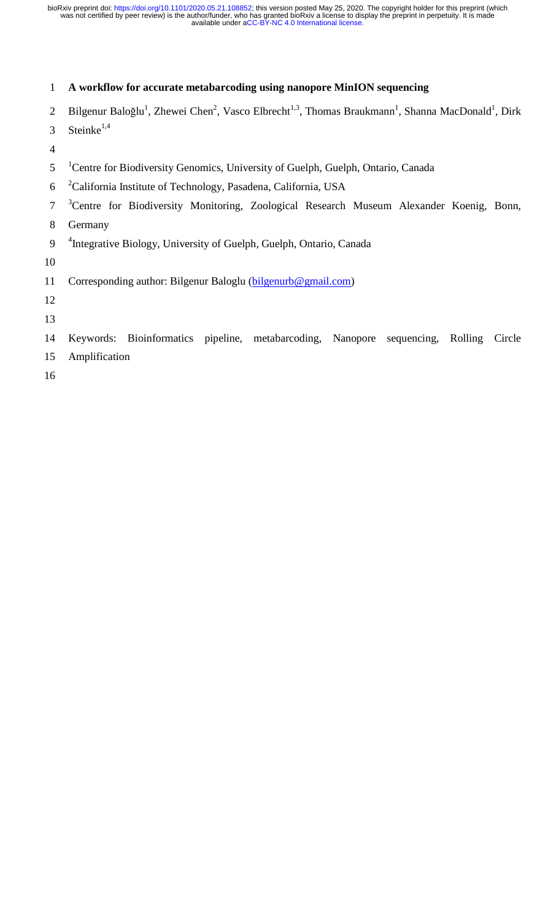### 1 **A workflow for accurate metabarcoding using nanopore MinION sequencing**

- 2 Bilgenur Baloğlu<sup>1</sup>, Zhewei Chen<sup>2</sup>, Vasco Elbrecht<sup>1,3</sup>, Thomas Braukmann<sup>1</sup>, Shanna MacDonald<sup>1</sup>, Dirk
- 3 Steinke<sup>1,4</sup>
- 4
- <sup>1</sup> Centre for Biodiversity Genomics, University of Guelph, Guelph, Ontario, Canada
- <sup>2</sup> 6 California Institute of Technology, Pasadena, California, USA
- <sup>3</sup> Centre for Biodiversity Monitoring, Zoological Research Museum Alexander Koenig, Bonn,
- 8 Germany
- 9 <sup>4</sup> Integrative Biology, University of Guelph, Guelph, Ontario, Canada
- 10
- 11 Corresponding author: Bilgenur Baloglu (bilgenurb@gmail.com)
- 12
- 13
- 14 Keywords: Bioinformatics pipeline, metabarcoding, Nanopore sequencing, Rolling Circle
- 15 Amplification
- 16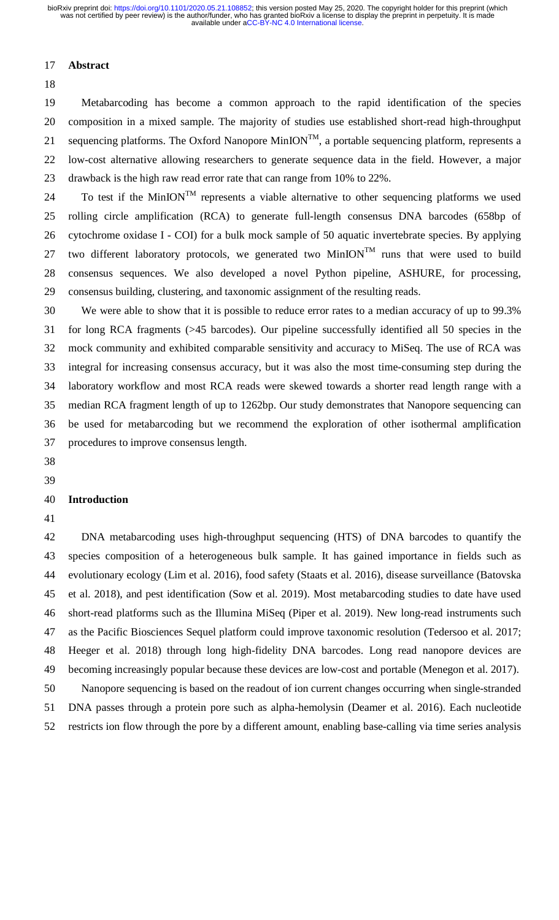#### 17 **Abstract**

18

19 Metabarcoding has become a common approach to the rapid identification of the species 20 composition in a mixed sample. The majority of studies use established short-read high-throughput 21 sequencing platforms. The Oxford Nanopore MinION<sup>TM</sup>, a portable sequencing platform, represents a 22 low-cost alternative allowing researchers to generate sequence data in the field. However, a major 23 drawback is the high raw read error rate that can range from 10% to 22%.

24 To test if the MinION<sup>TM</sup> represents a viable alternative to other sequencing platforms we used 25 rolling circle amplification (RCA) to generate full-length consensus DNA barcodes (658bp of 26 cytochrome oxidase I - COI) for a bulk mock sample of 50 aquatic invertebrate species. By applying 27 two different laboratory protocols, we generated two MinION<sup>TM</sup> runs that were used to build 28 consensus sequences. We also developed a novel Python pipeline, ASHURE, for processing, 29 consensus building, clustering, and taxonomic assignment of the resulting reads.

30 We were able to show that it is possible to reduce error rates to a median accuracy of up to 99.3% 31 for long RCA fragments (>45 barcodes). Our pipeline successfully identified all 50 species in the 32 mock community and exhibited comparable sensitivity and accuracy to MiSeq. The use of RCA was 33 integral for increasing consensus accuracy, but it was also the most time-consuming step during the 34 laboratory workflow and most RCA reads were skewed towards a shorter read length range with a 35 median RCA fragment length of up to 1262bp. Our study demonstrates that Nanopore sequencing can 36 be used for metabarcoding but we recommend the exploration of other isothermal amplification 37 procedures to improve consensus length.

38 39

#### 40 **Introduction**

41

42 DNA metabarcoding uses high-throughput sequencing (HTS) of DNA barcodes to quantify the 43 species composition of a heterogeneous bulk sample. It has gained importance in fields such as 44 evolutionary ecology (Lim et al. 2016), food safety (Staats et al. 2016), disease surveillance (Batovska 45 et al. 2018), and pest identification (Sow et al. 2019). Most metabarcoding studies to date have used 46 short-read platforms such as the Illumina MiSeq (Piper et al. 2019). New long-read instruments such 47 as the Pacific Biosciences Sequel platform could improve taxonomic resolution (Tedersoo et al. 2017; 48 Heeger et al. 2018) through long high-fidelity DNA barcodes. Long read nanopore devices are 49 becoming increasingly popular because these devices are low-cost and portable (Menegon et al. 2017). 50 Nanopore sequencing is based on the readout of ion current changes occurring when single-stranded 51 DNA passes through a protein pore such as alpha-hemolysin (Deamer et al. 2016). Each nucleotide

52 restricts ion flow through the pore by a different amount, enabling base-calling via time series analysis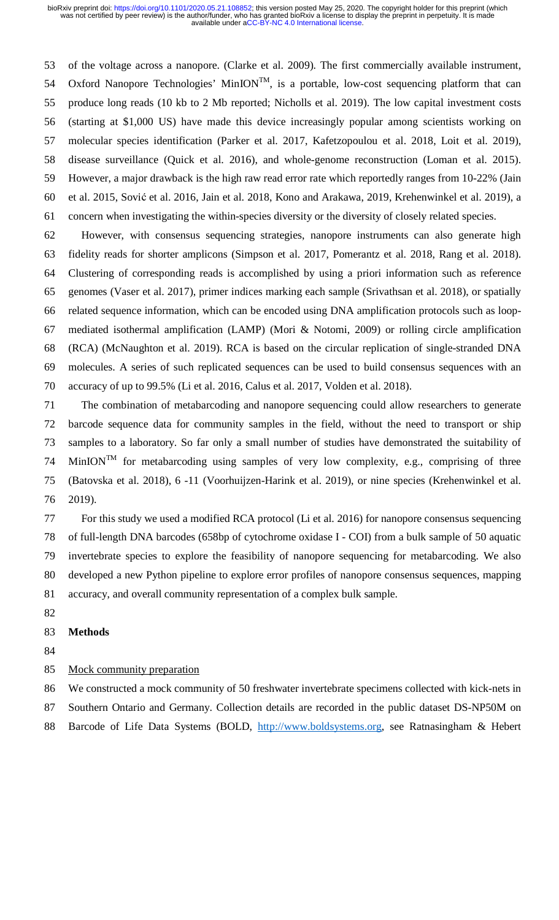53 of the voltage across a nanopore. (Clarke et al. 2009). The first commercially available instrument, 54 Oxford Nanopore Technologies' MinION<sup>TM</sup>, is a portable, low-cost sequencing platform that can 55 produce long reads (10 kb to 2 Mb reported; Nicholls et al. 2019). The low capital investment costs 56 (starting at \$1,000 US) have made this device increasingly popular among scientists working on 57 molecular species identification (Parker et al. 2017, Kafetzopoulou et al. 2018, Loit et al. 2019), 58 disease surveillance (Quick et al. 2016), and whole-genome reconstruction (Loman et al. 2015). 59 However, a major drawback is the high raw read error rate which reportedly ranges from 10-22% (Jain 60 et al. 2015, Sović et al. 2016, Jain et al. 2018, Kono and Arakawa, 2019, Krehenwinkel et al. 2019), a 61 concern when investigating the within-species diversity or the diversity of closely related species.

62 However, with consensus sequencing strategies, nanopore instruments can also generate high 63 fidelity reads for shorter amplicons (Simpson et al. 2017, Pomerantz et al. 2018, Rang et al. 2018). 64 Clustering of corresponding reads is accomplished by using a priori information such as reference 65 genomes (Vaser et al. 2017), primer indices marking each sample (Srivathsan et al. 2018), or spatially 66 related sequence information, which can be encoded using DNA amplification protocols such as loop-67 mediated isothermal amplification (LAMP) (Mori & Notomi, 2009) or rolling circle amplification 68 (RCA) (McNaughton et al. 2019). RCA is based on the circular replication of single-stranded DNA 69 molecules. A series of such replicated sequences can be used to build consensus sequences with an 70 accuracy of up to 99.5% (Li et al. 2016, Calus et al. 2017, Volden et al. 2018).

71 The combination of metabarcoding and nanopore sequencing could allow researchers to generate 72 barcode sequence data for community samples in the field, without the need to transport or ship 73 samples to a laboratory. So far only a small number of studies have demonstrated the suitability of 74 MinION<sup>TM</sup> for metabarcoding using samples of very low complexity, e.g., comprising of three 75 (Batovska et al. 2018), 6 -11 (Voorhuijzen-Harink et al. 2019), or nine species (Krehenwinkel et al. 76 2019).

77 For this study we used a modified RCA protocol (Li et al. 2016) for nanopore consensus sequencing 78 of full-length DNA barcodes (658bp of cytochrome oxidase I - COI) from a bulk sample of 50 aquatic 79 invertebrate species to explore the feasibility of nanopore sequencing for metabarcoding. We also 80 developed a new Python pipeline to explore error profiles of nanopore consensus sequences, mapping 81 accuracy, and overall community representation of a complex bulk sample.

82

### 83 **Methods**

- 84
- 85 Mock community preparation
- 86 We constructed a mock community of 50 freshwater invertebrate specimens collected with kick-nets in
- 87 Southern Ontario and Germany. Collection details are recorded in the public dataset DS-NP50M on
- 88 Barcode of Life Data Systems (BOLD, http://www.boldsystems.org, see Ratnasingham & Hebert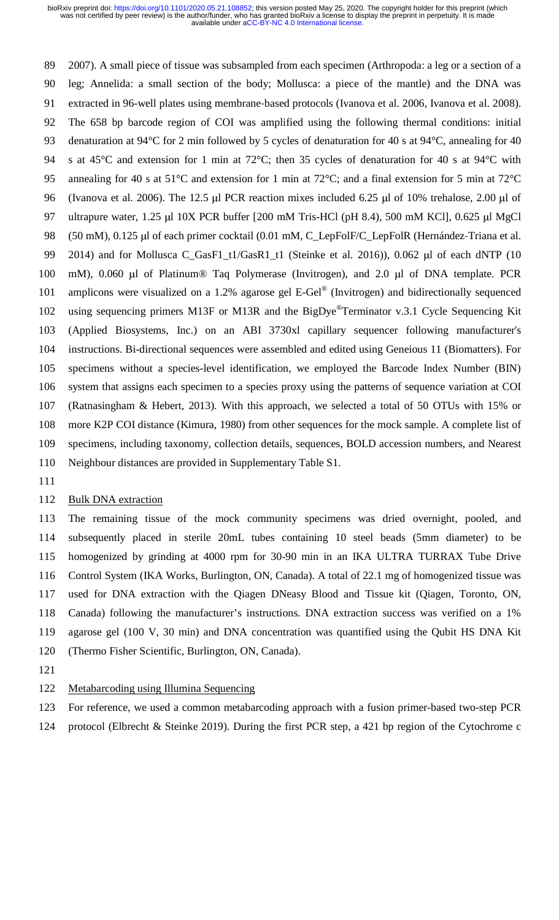89 2007). A small piece of tissue was subsampled from each specimen (Arthropoda: a leg or a section of a 90 leg; Annelida: a small section of the body; Mollusca: a piece of the mantle) and the DNA was extracted in 96-well plates using membrane-based protocols (Ivanova et al. 2006, Ivanova et al. 2008).<br>92 The 658 bp barcode region of COI was amplified using the following thermal conditions: initial<br>93 denaturation at 94 92 The 658 bp barcode region of COI was amplified using the following thermal conditions: initial 93 denaturation at 94°C for 2 min followed by 5 cycles of denaturation for 40 s at 94°C, annealing for 40 94 s at 45°C and extension for 1 min at 72°C; then 35 cycles of denaturation for 40 s at 94°C with 95 annealing for 40 s at 51°C and extension for 1 min at 72°C; and a final extension for 5 min at 72°C 96 (Ivanova et al. 2006). The 12.5 μl PCR reaction mixes included 6.25 μl of 10% trehalose, 2.00 μl of 97 ultrapure water, 1.25 μl 10X PCR buffer [200 mM Tris-HCl (pH 8.4), 500 mM KCl], 0.625 μl MgCl 98 (50 mM), 0.125 μl of each primer cocktail (0.01 mM, C\_LepFolF/C\_LepFolR (Hernández-Triana et al. (50 mM), 0.125 μl of each primer cocktail (0.01 mM, C\_LepFolF/C\_LepFolR (Hernández-Triana et al.<br>
2014) and for Mollusca C\_GasF1\_t1/GasR1\_t1 (Steinke et al. 2016)), 0.062 μl of each dNTP (10 mM), 0.060 μl of Platinum® Taq 99 2014) and for Mollusca C\_GasF1\_t1/GasR1\_t1 (Steinke et al. 2016)), 0.062 μl of each dNTP (10 101 amplicons were visualized on a 1.2% agarose gel E-Gel<sup>®</sup> (Invitrogen) and bidirectionally sequenced 102 using sequencing primers M13F or M13R and the BigDye<sup>®</sup>Terminator v.3.1 Cycle Sequencing Kit 103 (Applied Biosystems, Inc.) on an ABI 3730xl capillary sequencer following manufacturer's 104 instructions. Bi-directional sequences were assembled and edited using Geneious 11 (Biomatters). For 105 specimens without a species-level identification, we employed the Barcode Index Number (BIN) 106 system that assigns each specimen to a species proxy using the patterns of sequence variation at COI 107 (Ratnasingham & Hebert, 2013). With this approach, we selected a total of 50 OTUs with 15% or 108 more K2P COI distance (Kimura, 1980) from other sequences for the mock sample. A complete list of 109 specimens, including taxonomy, collection details, sequences, BOLD accession numbers, and Nearest 110 Neighbour distances are provided in Supplementary Table S1.

111

### 112 Bulk DNA extraction

113 The remaining tissue of the mock community specimens was dried overnight, pooled, and 114 subsequently placed in sterile 20mL tubes containing 10 steel beads (5mm diameter) to be 115 homogenized by grinding at 4000 rpm for 30-90 min in an IKA ULTRA TURRAX Tube Drive 116 Control System (IKA Works, Burlington, ON, Canada). A total of 22.1 mg of homogenized tissue was 117 used for DNA extraction with the Qiagen DNeasy Blood and Tissue kit (Qiagen, Toronto, ON, 118 Canada) following the manufacturer's instructions. DNA extraction success was verified on a 1% 119 agarose gel (100 V, 30 min) and DNA concentration was quantified using the Qubit HS DNA Kit 120 (Thermo Fisher Scientific, Burlington, ON, Canada).

- 121
- 122 Metabarcoding using Illumina Sequencing
- 123 For reference, we used a common metabarcoding approach with a fusion primer-based two-step PCR
- 124 protocol (Elbrecht & Steinke 2019). During the first PCR step, a 421 bp region of the Cytochrome c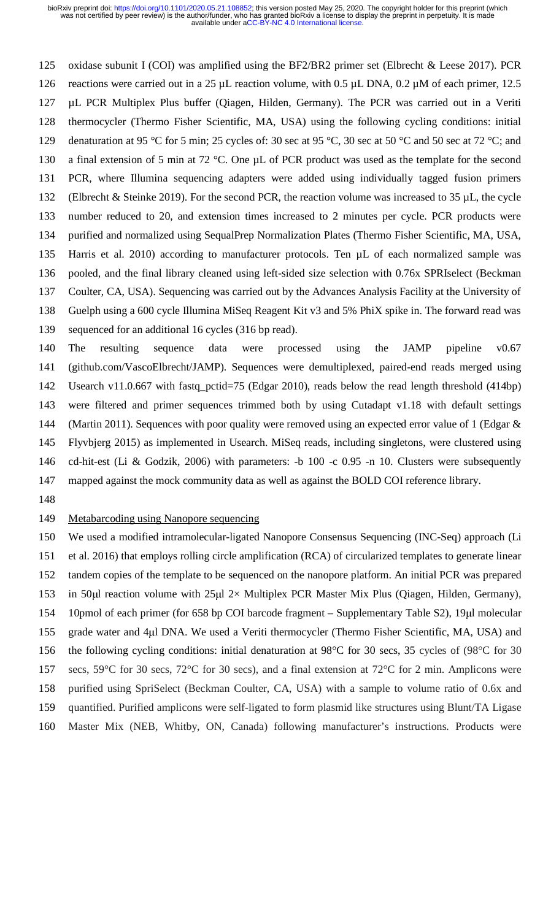125 oxidase subunit I (COI) was amplified using the BF2/BR2 primer set (Elbrecht & Leese 2017). PCR 126 reactions were carried out in a 25 µL reaction volume, with 0.5 µL DNA, 0.2 µM of each primer, 12.5 127 µL PCR Multiplex Plus buffer (Qiagen, Hilden, Germany). The PCR was carried out in a Veriti 128 thermocycler (Thermo Fisher Scientific, MA, USA) using the following cycling conditions: initial 129 denaturation at 95 °C for 5 min; 25 cycles of: 30 sec at 95 °C, 30 sec at 50 °C and 50 sec at 72 °C; and 130 a final extension of 5 min at 72 °C. One  $\mu$ L of PCR product was used as the template for the second 131 PCR, where Illumina sequencing adapters were added using individually tagged fusion primers 132 (Elbrecht & Steinke 2019). For the second PCR, the reaction volume was increased to 35  $\mu$ L, the cycle 133 number reduced to 20, and extension times increased to 2 minutes per cycle. PCR products were 134 purified and normalized using SequalPrep Normalization Plates (Thermo Fisher Scientific, MA, USA, 135 Harris et al. 2010) according to manufacturer protocols. Ten µL of each normalized sample was 136 pooled, and the final library cleaned using left-sided size selection with 0.76x SPRIselect (Beckman 137 Coulter, CA, USA). Sequencing was carried out by the Advances Analysis Facility at the University of 138 Guelph using a 600 cycle Illumina MiSeq Reagent Kit v3 and 5% PhiX spike in. The forward read was 139 sequenced for an additional 16 cycles (316 bp read).

140 The resulting sequence data were processed using the JAMP pipeline v0.67 141 (github.com/VascoElbrecht/JAMP). Sequences were demultiplexed, paired-end reads merged using 142 Usearch v11.0.667 with fastq\_pctid=75 (Edgar 2010), reads below the read length threshold (414bp) 143 were filtered and primer sequences trimmed both by using Cutadapt v1.18 with default settings 144 (Martin 2011). Sequences with poor quality were removed using an expected error value of 1 (Edgar & 145 Flyvbjerg 2015) as implemented in Usearch. MiSeq reads, including singletons, were clustered using 146 cd-hit-est (Li & Godzik, 2006) with parameters: -b 100 -c 0.95 -n 10. Clusters were subsequently 147 mapped against the mock community data as well as against the BOLD COI reference library.

148

### 149 Metabarcoding using Nanopore sequencing

150 We used a modified intramolecular-ligated Nanopore Consensus Sequencing (INC-Seq) approach (Li 151 et al. 2016) that employs rolling circle amplification (RCA) of circularized templates to generate linear 152 tandem copies of the template to be sequenced on the nanopore platform. An initial PCR was prepared 153 in 50μl reaction volume with 25μl 2× Multiplex PCR Master Mix Plus (Qiagen, Hilden, Germany), 154 10pmol of each primer (for 658 bp COI barcode fragment – Supplementary Table S2), 19μl molecular 155 grade water and 4μl DNA. We used a Veriti thermocycler (Thermo Fisher Scientific, MA, USA) and 156 the following cycling conditions: initial denaturation at 98°C for 30 secs, 35 cycles of (98°C for 30 157 secs, 59°C for 30 secs, 72°C for 30 secs), and a final extension at 72°C for 2 min. Amplicons were 158 purified using SpriSelect (Beckman Coulter, CA, USA) with a sample to volume ratio of 0.6x and 159 quantified. Purified amplicons were self-ligated to form plasmid like structures using Blunt/TA Ligase 160 Master Mix (NEB, Whitby, ON, Canada) following manufacturer's instructions. Products were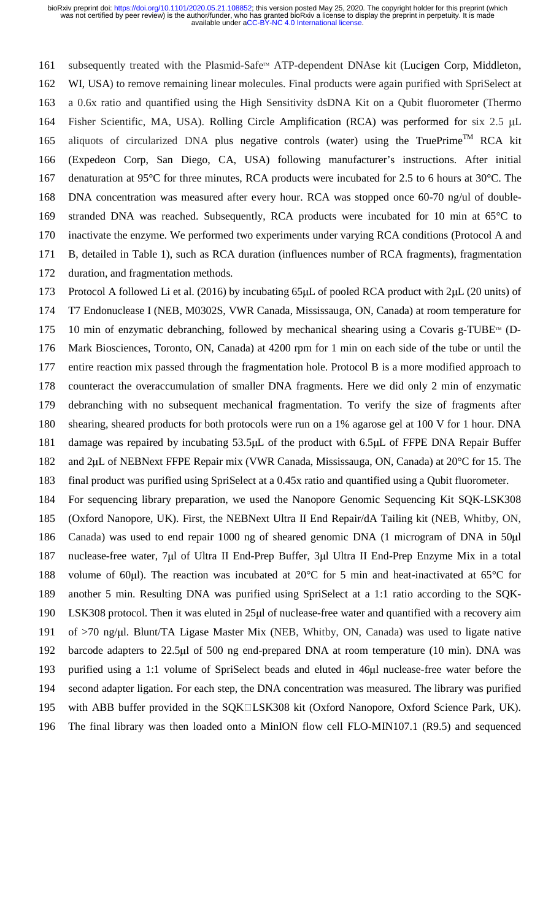161 subsequently treated with the Plasmid-Safe™ ATP-dependent DNAse kit (Lucigen Corp, Middleton, 162 WI, USA) to remove remaining linear molecules. Final products were again purified with SpriSelect at 163 a 0.6x ratio and quantified using the High Sensitivity dsDNA Kit on a Qubit fluorometer (Thermo 164 Fisher Scientific, MA, USA). Rolling Circle Amplification (RCA) was performed for six 2.5 μ<sup>L</sup> 165 aliquots of circularized DNA plus negative controls (water) using the TruePrime<sup>TM</sup> RCA kit 166 (Expedeon Corp, San Diego, CA, USA) following manufacturer's instructions. After initial 167 denaturation at 95°C for three minutes, RCA products were incubated for 2.5 to 6 hours at 30°C. The 168 DNA concentration was measured after every hour. RCA was stopped once 60-70 ng/ul of double-169 stranded DNA was reached. Subsequently, RCA products were incubated for 10 min at 65°C to 170 inactivate the enzyme. We performed two experiments under varying RCA conditions (Protocol A and 171 B, detailed in Table 1), such as RCA duration (influences number of RCA fragments), fragmentation

172 duration, and fragmentation methods.

173 Protocol A followed Li et al. (2016) by incubating 65μL of pooled RCA product with 2μL (20 units) of

174 T7 Endonuclease I (NEB, M0302S, VWR Canada, Mississauga, ON, Canada) at room temperature for 175 10 min of enzymatic debranching, followed by mechanical shearing using a Covaris g-TUBE<sup> $m$ </sup> (D-176 Mark Biosciences, Toronto, ON, Canada) at 4200 rpm for 1 min on each side of the tube or until the 177 entire reaction mix passed through the fragmentation hole. Protocol B is a more modified approach to 178 counteract the overaccumulation of smaller DNA fragments. Here we did only 2 min of enzymatic 179 debranching with no subsequent mechanical fragmentation. To verify the size of fragments after 180 shearing, sheared products for both protocols were run on a 1% agarose gel at 100 V for 1 hour. DNA 181 damage was repaired by incubating 53.5μL of the product with 6.5μL of FFPE DNA Repair Buffer 182 and 2μL of NEBNext FFPE Repair mix (VWR Canada, Mississauga, ON, Canada) at 20°C for 15. The

183 final product was purified using SpriSelect at a 0.45x ratio and quantified using a Qubit fluorometer.

184 For sequencing library preparation, we used the Nanopore Genomic Sequencing Kit SQK-LSK308 185 (Oxford Nanopore, UK). First, the NEBNext Ultra II End Repair/dA Tailing kit (NEB, Whitby, ON, 186 Canada) was used to end repair 1000 ng of sheared genomic DNA (1 microgram of DNA in 50μ<sup>l</sup> 187 nuclease-free water, 7μl of Ultra II End-Prep Buffer, 3μl Ultra II End-Prep Enzyme Mix in a total 188 volume of 60μl). The reaction was incubated at 20°C for 5 min and heat-inactivated at 65°C for 189 another 5 min. Resulting DNA was purified using SpriSelect at a 1:1 ratio according to the SQK-190 LSK308 protocol. Then it was eluted in 25μl of nuclease-free water and quantified with a recovery aim 191 of >70 ng/μl. Blunt/TA Ligase Master Mix (NEB, Whitby, ON, Canada) was used to ligate native 192 barcode adapters to 22.5μl of 500 ng end-prepared DNA at room temperature (10 min). DNA was 193 purified using a 1:1 volume of SpriSelect beads and eluted in 46μl nuclease-free water before the 194 second adapter ligation. For each step, the DNA concentration was measured. The library was purified 195 with ABB buffer provided in the SQKILSK308 kit (Oxford Nanopore, Oxford Science Park, UK).

196 The final library was then loaded onto a MinION flow cell FLO-MIN107.1 (R9.5) and sequenced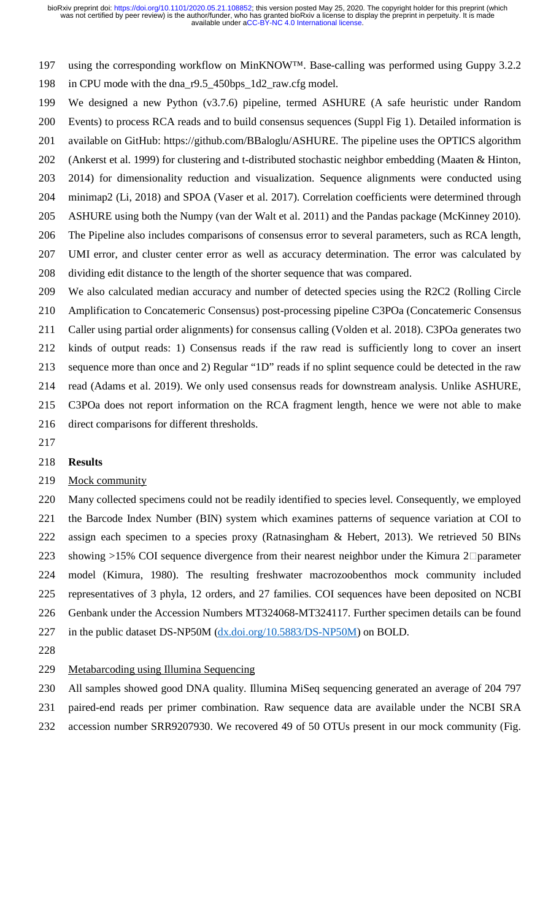197 using the corresponding workflow on MinKNOW™. Base-calling was performed using Guppy 3.2.2 198 in CPU mode with the dna\_r9.5\_450bps\_1d2\_raw.cfg model.

199 We designed a new Python (v3.7.6) pipeline, termed ASHURE (A safe heuristic under Random

200 Events) to process RCA reads and to build consensus sequences (Suppl Fig 1). Detailed information is

201 available on GitHub: https://github.com/BBaloglu/ASHURE. The pipeline uses the OPTICS algorithm

202 (Ankerst et al. 1999) for clustering and t-distributed stochastic neighbor embedding (Maaten & Hinton,

203 2014) for dimensionality reduction and visualization. Sequence alignments were conducted using

204 minimap2 (Li, 2018) and SPOA (Vaser et al. 2017). Correlation coefficients were determined through 205 ASHURE using both the Numpy (van der Walt et al. 2011) and the Pandas package (McKinney 2010).

- 206 The Pipeline also includes comparisons of consensus error to several parameters, such as RCA length,
- 207 UMI error, and cluster center error as well as accuracy determination. The error was calculated by
- 208 dividing edit distance to the length of the shorter sequence that was compared.

209 We also calculated median accuracy and number of detected species using the R2C2 (Rolling Circle

210 Amplification to Concatemeric Consensus) post-processing pipeline C3POa (Concatemeric Consensus

211 Caller using partial order alignments) for consensus calling (Volden et al. 2018). C3POa generates two

212 kinds of output reads: 1) Consensus reads if the raw read is sufficiently long to cover an insert

213 sequence more than once and 2) Regular "1D" reads if no splint sequence could be detected in the raw

214 read (Adams et al. 2019). We only used consensus reads for downstream analysis. Unlike ASHURE,

215 C3POa does not report information on the RCA fragment length, hence we were not able to make

- 216 direct comparisons for different thresholds.
- 217

## 218 **Results**

### 219 Mock community

220 Many collected specimens could not be readily identified to species level. Consequently, we employed 221 the Barcode Index Number (BIN) system which examines patterns of sequence variation at COI to 222 assign each specimen to a species proxy (Ratnasingham & Hebert, 2013). We retrieved 50 BINs 223 showing >15% COI sequence divergence from their nearest neighbor under the Kimura  $2\Box$  parameter 224 model (Kimura, 1980). The resulting freshwater macrozoobenthos mock community included 225 representatives of 3 phyla, 12 orders, and 27 families. COI sequences have been deposited on NCBI 226 Genbank under the Accession Numbers MT324068-MT324117. Further specimen details can be found 227 in the public dataset DS-NP50M (dx.doi.org/10.5883/DS-NP50M) on BOLD.

- 228
- 229 Metabarcoding using Illumina Sequencing
- 230 All samples showed good DNA quality. Illumina MiSeq sequencing generated an average of 204 797

231 paired-end reads per primer combination. Raw sequence data are available under the NCBI SRA

232 accession number SRR9207930. We recovered 49 of 50 OTUs present in our mock community (Fig.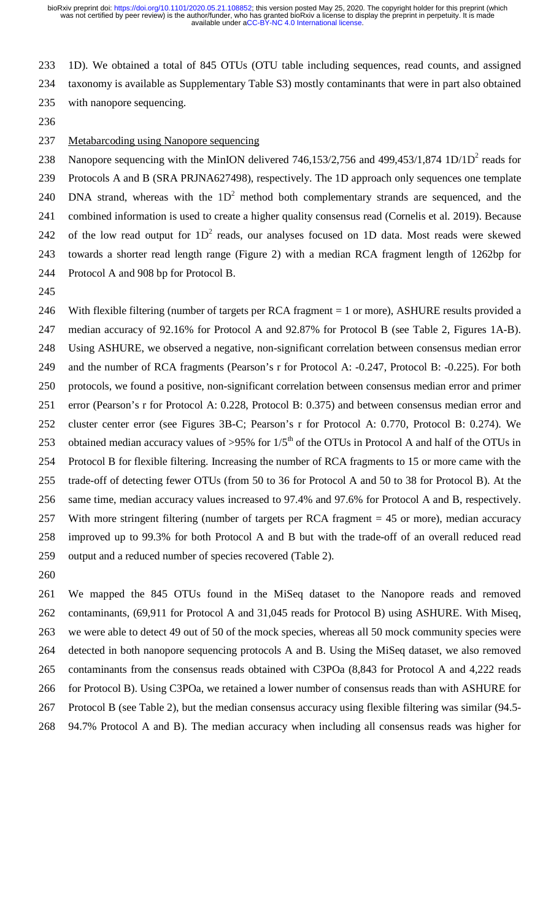233 1D). We obtained a total of 845 OTUs (OTU table including sequences, read counts, and assigned 234 taxonomy is available as Supplementary Table S3) mostly contaminants that were in part also obtained 235 with nanopore sequencing.

236

### 237 Metabarcoding using Nanopore sequencing

238 Nanopore sequencing with the MinION delivered 746,153/2,756 and 499,453/1,874 1D/1D<sup>2</sup> reads for 239 Protocols A and B (SRA PRJNA627498), respectively. The 1D approach only sequences one template 240 DNA strand, whereas with the  $1D<sup>2</sup>$  method both complementary strands are sequenced, and the 241 combined information is used to create a higher quality consensus read (Cornelis et al. 2019). Because 242 of the low read output for  $1D<sup>2</sup>$  reads, our analyses focused on 1D data. Most reads were skewed 243 towards a shorter read length range (Figure 2) with a median RCA fragment length of 1262bp for 244 Protocol A and 908 bp for Protocol B.

245

246 With flexible filtering (number of targets per RCA fragment = 1 or more), ASHURE results provided a 247 median accuracy of 92.16% for Protocol A and 92.87% for Protocol B (see Table 2, Figures 1A-B). 248 Using ASHURE, we observed a negative, non-significant correlation between consensus median error 249 and the number of RCA fragments (Pearson's r for Protocol A: -0.247, Protocol B: -0.225). For both 250 protocols, we found a positive, non-significant correlation between consensus median error and primer 251 error (Pearson's r for Protocol A: 0.228, Protocol B: 0.375) and between consensus median error and 252 cluster center error (see Figures 3B-C; Pearson's r for Protocol A: 0.770, Protocol B: 0.274). We 253 obtained median accuracy values of >95% for  $1/5<sup>th</sup>$  of the OTUs in Protocol A and half of the OTUs in 254 Protocol B for flexible filtering. Increasing the number of RCA fragments to 15 or more came with the 255 trade-off of detecting fewer OTUs (from 50 to 36 for Protocol A and 50 to 38 for Protocol B). At the 256 same time, median accuracy values increased to 97.4% and 97.6% for Protocol A and B, respectively. 257 With more stringent filtering (number of targets per RCA fragment = 45 or more), median accuracy 258 improved up to 99.3% for both Protocol A and B but with the trade-off of an overall reduced read 259 output and a reduced number of species recovered (Table 2).

260

261 We mapped the 845 OTUs found in the MiSeq dataset to the Nanopore reads and removed 262 contaminants, (69,911 for Protocol A and 31,045 reads for Protocol B) using ASHURE. With Miseq, 263 we were able to detect 49 out of 50 of the mock species, whereas all 50 mock community species were 264 detected in both nanopore sequencing protocols A and B. Using the MiSeq dataset, we also removed 265 contaminants from the consensus reads obtained with C3POa (8,843 for Protocol A and 4,222 reads 266 for Protocol B). Using C3POa, we retained a lower number of consensus reads than with ASHURE for 267 Protocol B (see Table 2), but the median consensus accuracy using flexible filtering was similar (94.5-

268 94.7% Protocol A and B). The median accuracy when including all consensus reads was higher for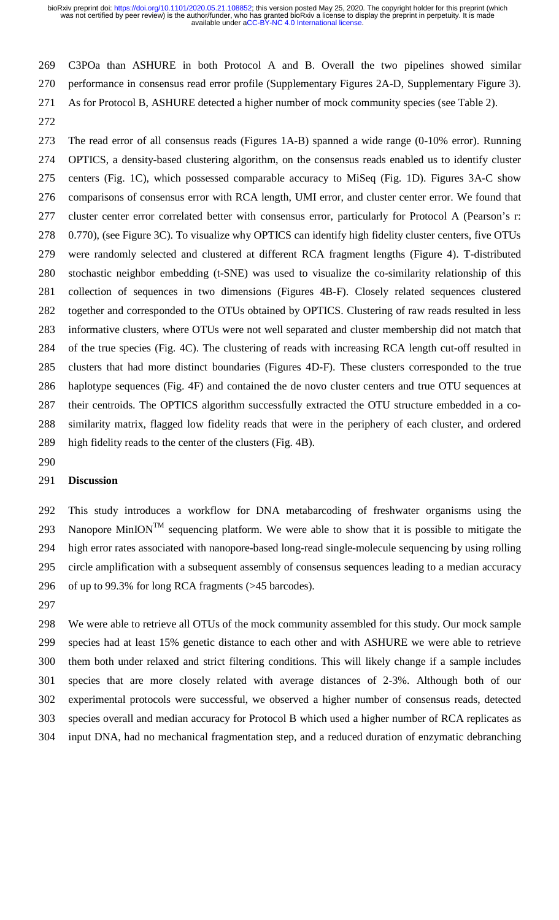269 C3POa than ASHURE in both Protocol A and B. Overall the two pipelines showed similar 270 performance in consensus read error profile (Supplementary Figures 2A-D, Supplementary Figure 3). 271 As for Protocol B, ASHURE detected a higher number of mock community species (see Table 2).

272

273 The read error of all consensus reads (Figures 1A-B) spanned a wide range (0-10% error). Running 274 OPTICS, a density-based clustering algorithm, on the consensus reads enabled us to identify cluster 275 centers (Fig. 1C), which possessed comparable accuracy to MiSeq (Fig. 1D). Figures 3A-C show 276 comparisons of consensus error with RCA length, UMI error, and cluster center error. We found that 277 cluster center error correlated better with consensus error, particularly for Protocol A (Pearson's r: 278 0.770), (see Figure 3C). To visualize why OPTICS can identify high fidelity cluster centers, five OTUs 279 were randomly selected and clustered at different RCA fragment lengths (Figure 4). T-distributed 280 stochastic neighbor embedding (t-SNE) was used to visualize the co-similarity relationship of this 281 collection of sequences in two dimensions (Figures 4B-F). Closely related sequences clustered 282 together and corresponded to the OTUs obtained by OPTICS. Clustering of raw reads resulted in less 283 informative clusters, where OTUs were not well separated and cluster membership did not match that 284 of the true species (Fig. 4C). The clustering of reads with increasing RCA length cut-off resulted in 285 clusters that had more distinct boundaries (Figures 4D-F). These clusters corresponded to the true 286 haplotype sequences (Fig. 4F) and contained the de novo cluster centers and true OTU sequences at 287 their centroids. The OPTICS algorithm successfully extracted the OTU structure embedded in a co-288 similarity matrix, flagged low fidelity reads that were in the periphery of each cluster, and ordered 289 high fidelity reads to the center of the clusters (Fig. 4B).

290

#### 291 **Discussion**

292 This study introduces a workflow for DNA metabarcoding of freshwater organisms using the 293 Nanopore MinION<sup>TM</sup> sequencing platform. We were able to show that it is possible to mitigate the 294 high error rates associated with nanopore-based long-read single-molecule sequencing by using rolling 295 circle amplification with a subsequent assembly of consensus sequences leading to a median accuracy 296 of up to 99.3% for long RCA fragments (>45 barcodes).

297

298 We were able to retrieve all OTUs of the mock community assembled for this study. Our mock sample 299 species had at least 15% genetic distance to each other and with ASHURE we were able to retrieve 300 them both under relaxed and strict filtering conditions. This will likely change if a sample includes 301 species that are more closely related with average distances of 2-3%. Although both of our 302 experimental protocols were successful, we observed a higher number of consensus reads, detected 303 species overall and median accuracy for Protocol B which used a higher number of RCA replicates as 304 input DNA, had no mechanical fragmentation step, and a reduced duration of enzymatic debranching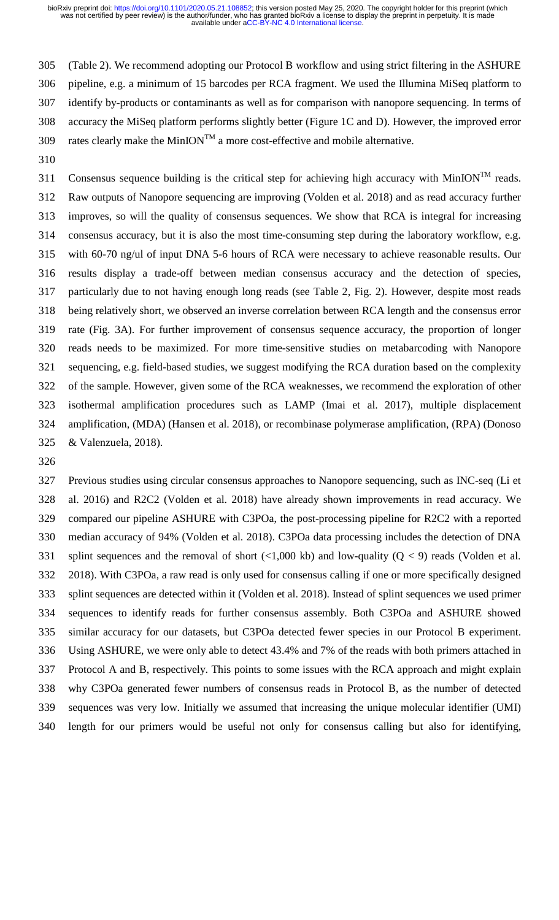305 (Table 2). We recommend adopting our Protocol B workflow and using strict filtering in the ASHURE 306 pipeline, e.g. a minimum of 15 barcodes per RCA fragment. We used the Illumina MiSeq platform to 307 identify by-products or contaminants as well as for comparison with nanopore sequencing. In terms of 308 accuracy the MiSeq platform performs slightly better (Figure 1C and D). However, the improved error 309 rates clearly make the MinION<sup>TM</sup> a more cost-effective and mobile alternative.

310

Consensus sequence building is the critical step for achieving high accuracy with MinION<sup>TM</sup> reads. 312 Raw outputs of Nanopore sequencing are improving (Volden et al. 2018) and as read accuracy further 313 improves, so will the quality of consensus sequences. We show that RCA is integral for increasing 314 consensus accuracy, but it is also the most time-consuming step during the laboratory workflow, e.g. 315 with 60-70 ng/ul of input DNA 5-6 hours of RCA were necessary to achieve reasonable results. Our 316 results display a trade-off between median consensus accuracy and the detection of species, 317 particularly due to not having enough long reads (see Table 2, Fig. 2). However, despite most reads 318 being relatively short, we observed an inverse correlation between RCA length and the consensus error 319 rate (Fig. 3A). For further improvement of consensus sequence accuracy, the proportion of longer 320 reads needs to be maximized. For more time-sensitive studies on metabarcoding with Nanopore 321 sequencing, e.g. field-based studies, we suggest modifying the RCA duration based on the complexity 322 of the sample. However, given some of the RCA weaknesses, we recommend the exploration of other 323 isothermal amplification procedures such as LAMP (Imai et al. 2017), multiple displacement 324 amplification, (MDA) (Hansen et al. 2018), or recombinase polymerase amplification, (RPA) (Donoso 325 & Valenzuela, 2018).

326

327 Previous studies using circular consensus approaches to Nanopore sequencing, such as INC-seq (Li et 328 al. 2016) and R2C2 (Volden et al. 2018) have already shown improvements in read accuracy. We 329 compared our pipeline ASHURE with C3POa, the post-processing pipeline for R2C2 with a reported 330 median accuracy of 94% (Volden et al. 2018). C3POa data processing includes the detection of DNA 331 splint sequences and the removal of short  $\left($ <1,000 kb) and low-quality  $(Q < 9)$  reads (Volden et al. 332 2018). With C3POa, a raw read is only used for consensus calling if one or more specifically designed 333 splint sequences are detected within it (Volden et al. 2018). Instead of splint sequences we used primer 334 sequences to identify reads for further consensus assembly. Both C3POa and ASHURE showed 335 similar accuracy for our datasets, but C3POa detected fewer species in our Protocol B experiment. 336 Using ASHURE, we were only able to detect 43.4% and 7% of the reads with both primers attached in 337 Protocol A and B, respectively. This points to some issues with the RCA approach and might explain 338 why C3POa generated fewer numbers of consensus reads in Protocol B, as the number of detected 339 sequences was very low. Initially we assumed that increasing the unique molecular identifier (UMI) 340 length for our primers would be useful not only for consensus calling but also for identifying,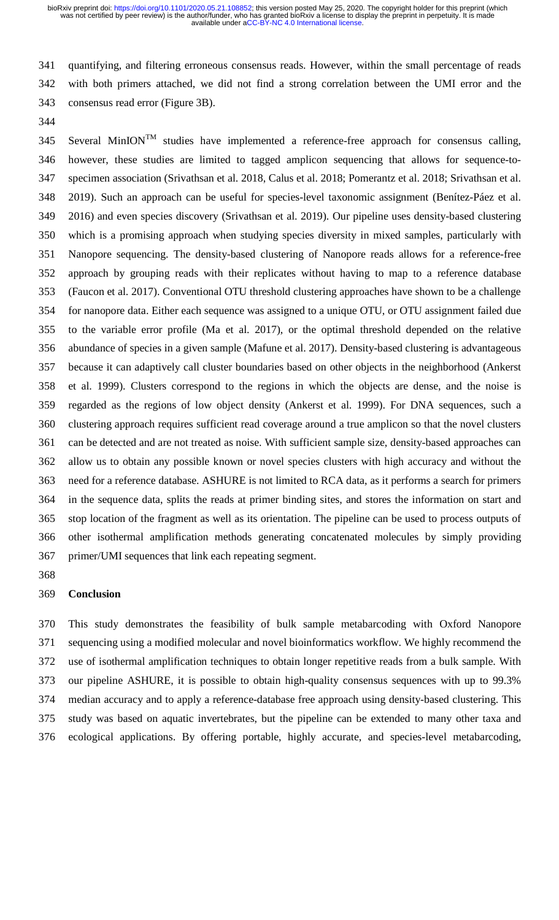341 quantifying, and filtering erroneous consensus reads. However, within the small percentage of reads 342 with both primers attached, we did not find a strong correlation between the UMI error and the 343 consensus read error (Figure 3B).

344

 $345$  Several MinION<sup>TM</sup> studies have implemented a reference-free approach for consensus calling, 346 however, these studies are limited to tagged amplicon sequencing that allows for sequence-to-347 specimen association (Srivathsan et al. 2018, Calus et al. 2018; Pomerantz et al. 2018; Srivathsan et al. 348 2019). Such an approach can be useful for species-level taxonomic assignment (Benítez-Páez et al. 349 2016) and even species discovery (Srivathsan et al. 2019). Our pipeline uses density-based clustering 350 which is a promising approach when studying species diversity in mixed samples, particularly with 351 Nanopore sequencing. The density-based clustering of Nanopore reads allows for a reference-free 352 approach by grouping reads with their replicates without having to map to a reference database 353 (Faucon et al. 2017). Conventional OTU threshold clustering approaches have shown to be a challenge 354 for nanopore data. Either each sequence was assigned to a unique OTU, or OTU assignment failed due 355 to the variable error profile (Ma et al. 2017), or the optimal threshold depended on the relative 356 abundance of species in a given sample (Mafune et al. 2017). Density-based clustering is advantageous 357 because it can adaptively call cluster boundaries based on other objects in the neighborhood (Ankerst 358 et al. 1999). Clusters correspond to the regions in which the objects are dense, and the noise is 359 regarded as the regions of low object density (Ankerst et al. 1999). For DNA sequences, such a 360 clustering approach requires sufficient read coverage around a true amplicon so that the novel clusters 361 can be detected and are not treated as noise. With sufficient sample size, density-based approaches can 362 allow us to obtain any possible known or novel species clusters with high accuracy and without the 363 need for a reference database. ASHURE is not limited to RCA data, as it performs a search for primers 364 in the sequence data, splits the reads at primer binding sites, and stores the information on start and 365 stop location of the fragment as well as its orientation. The pipeline can be used to process outputs of 366 other isothermal amplification methods generating concatenated molecules by simply providing 367 primer/UMI sequences that link each repeating segment.

368

#### 369 **Conclusion**

370 This study demonstrates the feasibility of bulk sample metabarcoding with Oxford Nanopore 371 sequencing using a modified molecular and novel bioinformatics workflow. We highly recommend the 372 use of isothermal amplification techniques to obtain longer repetitive reads from a bulk sample. With 373 our pipeline ASHURE, it is possible to obtain high-quality consensus sequences with up to 99.3% 374 median accuracy and to apply a reference-database free approach using density-based clustering. This 375 study was based on aquatic invertebrates, but the pipeline can be extended to many other taxa and 376 ecological applications. By offering portable, highly accurate, and species-level metabarcoding,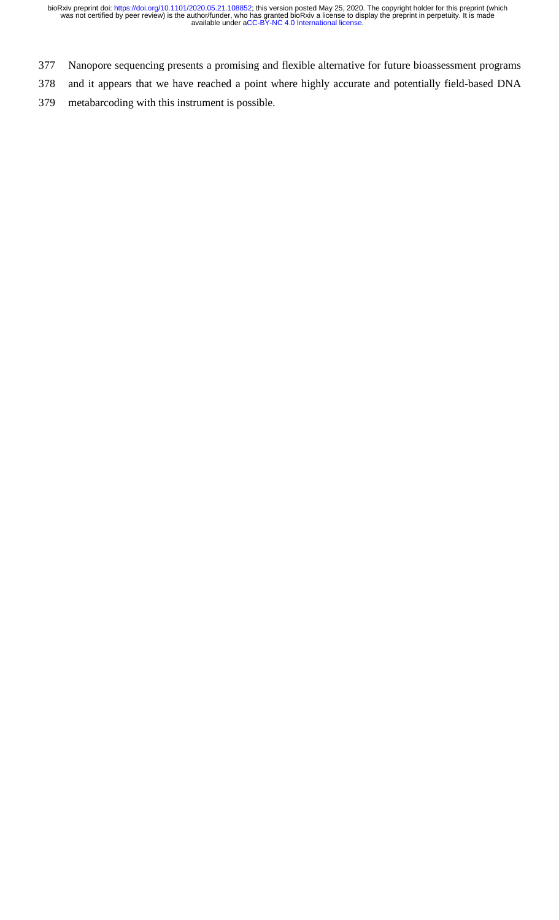- 377 Nanopore sequencing presents a promising and flexible alternative for future bioassessment programs
- 378 and it appears that we have reached a point where highly accurate and potentially field-based DNA
- 379 metabarcoding with this instrument is possible.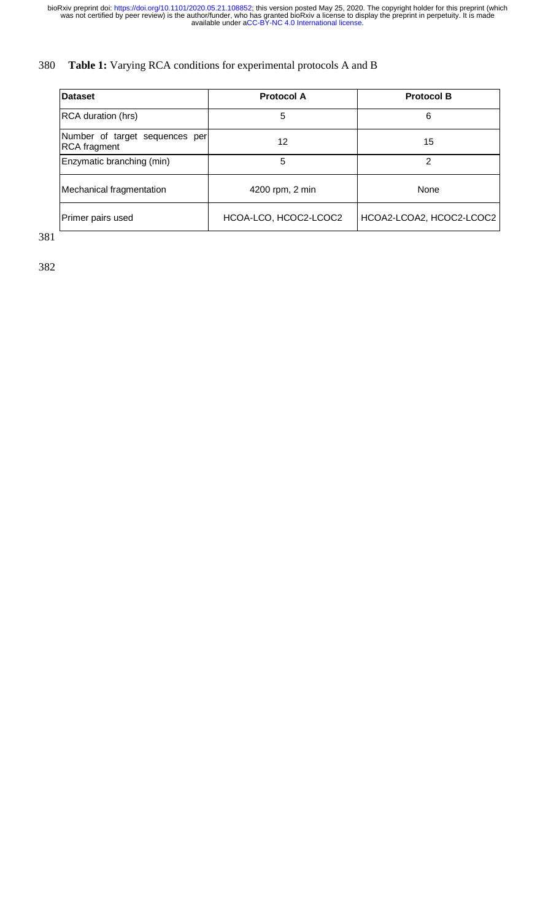# 380 **Table 1:** Varying RCA conditions for experimental protocols A and B

| <b>Dataset</b>                                        | <b>Protocol A</b>     | <b>Protocol B</b>        |  |  |
|-------------------------------------------------------|-----------------------|--------------------------|--|--|
| <b>RCA duration (hrs)</b>                             | 5                     | 6                        |  |  |
| Number of target sequences per<br><b>RCA</b> fragment | 12                    | 15                       |  |  |
| Enzymatic branching (min)                             | 5                     | 2                        |  |  |
| Mechanical fragmentation                              | 4200 rpm, 2 min       | None                     |  |  |
| Primer pairs used                                     | HCOA-LCO, HCOC2-LCOC2 | HCOA2-LCOA2, HCOC2-LCOC2 |  |  |

381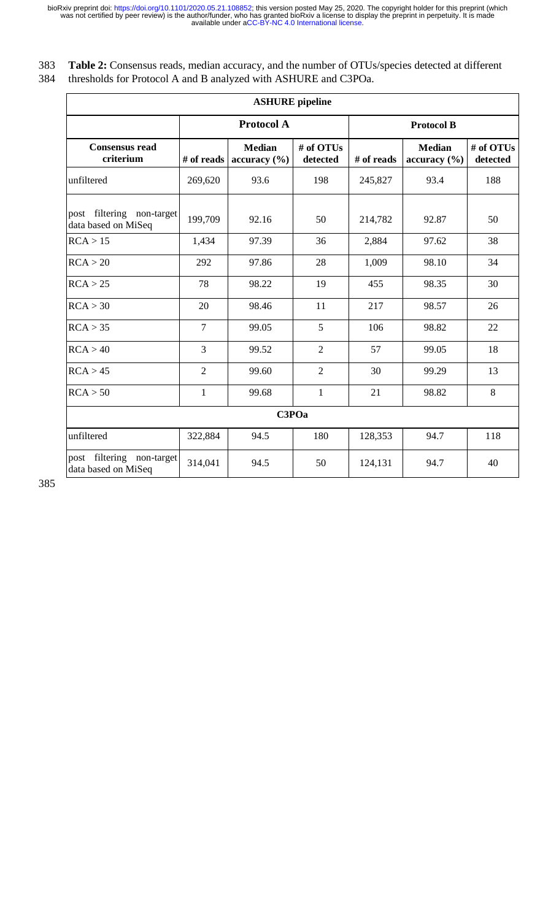| 383 Table 2: Consensus reads, median accuracy, and the number of OTUs/species detected at different |
|-----------------------------------------------------------------------------------------------------|
| 384 thresholds for Protocol A and B analyzed with ASHURE and C3POa.                                 |

| <b>ASHURE</b> pipeline                           |                   |                               |                       |                   |                               |                       |  |  |  |
|--------------------------------------------------|-------------------|-------------------------------|-----------------------|-------------------|-------------------------------|-----------------------|--|--|--|
|                                                  | <b>Protocol A</b> |                               |                       | <b>Protocol B</b> |                               |                       |  |  |  |
| <b>Consensus read</b><br>criterium               | # of reads        | <b>Median</b><br>accuracy (%) | # of OTUs<br>detected | # of reads        | <b>Median</b><br>accuracy (%) | # of OTUs<br>detected |  |  |  |
| unfiltered                                       | 269,620           | 93.6                          | 198                   | 245,827           | 93.4                          | 188                   |  |  |  |
| post filtering non-target<br>data based on MiSeq | 199,709           | 92.16                         | 50                    | 214,782           | 92.87                         | 50                    |  |  |  |
| RCA > 15                                         | 1,434             | 97.39                         | 36                    | 2,884             | 97.62                         | 38                    |  |  |  |
| RCA > 20                                         | 292               | 97.86                         | 28                    | 1,009             | 98.10                         | 34                    |  |  |  |
| RCA > 25                                         | 78                | 98.22                         | 19                    | 455               | 98.35                         | 30                    |  |  |  |
| RCA > 30                                         | 20                | 98.46                         | 11                    | 217               | 98.57                         | 26                    |  |  |  |
| RCA > 35                                         | $\overline{7}$    | 99.05                         | 5                     | 106               | 98.82                         | 22                    |  |  |  |
| RCA > 40                                         | 3                 | 99.52                         | $\overline{2}$        | 57                | 99.05                         | 18                    |  |  |  |
| RCA > 45                                         | $\overline{2}$    | 99.60                         | $\overline{2}$        | 30                | 99.29                         | 13                    |  |  |  |
| RCA > 50                                         | $\mathbf{1}$      | 99.68                         | $\mathbf{1}$          | 21                | 98.82                         | 8                     |  |  |  |
| C3POa                                            |                   |                               |                       |                   |                               |                       |  |  |  |
| unfiltered                                       | 322,884           | 94.5                          | 180                   | 128,353           | 94.7                          | 118                   |  |  |  |
| post filtering non-target<br>data based on MiSeq | 314,041           | 94.5                          | 50                    | 124,131           | 94.7                          | 40                    |  |  |  |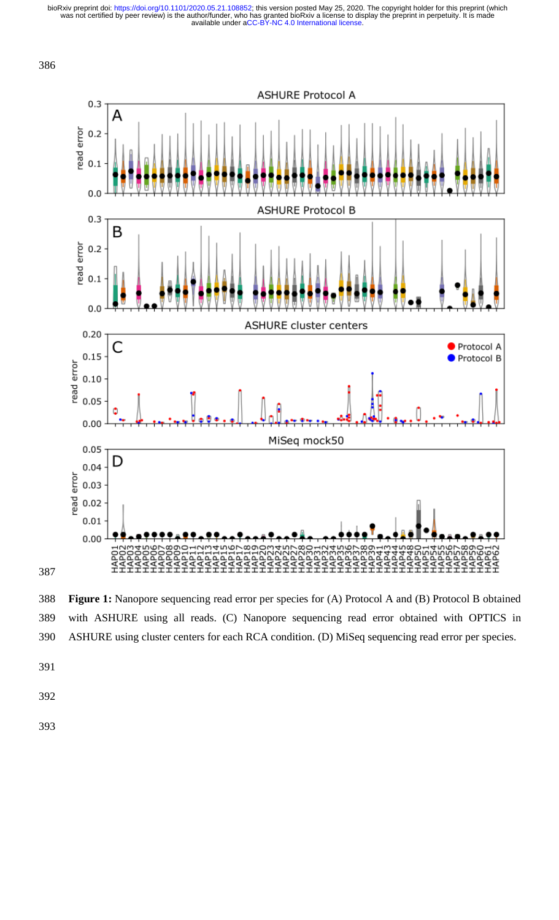

388 **Figure 1:** Nanopore sequencing read error per species for (A) Protocol A and (B) Protocol B obtained 389 with ASHURE using all reads. (C) Nanopore sequencing read error obtained with OPTICS in 390 ASHURE using cluster centers for each RCA condition. (D) MiSeq sequencing read error per species.

- 391
- 392
- 393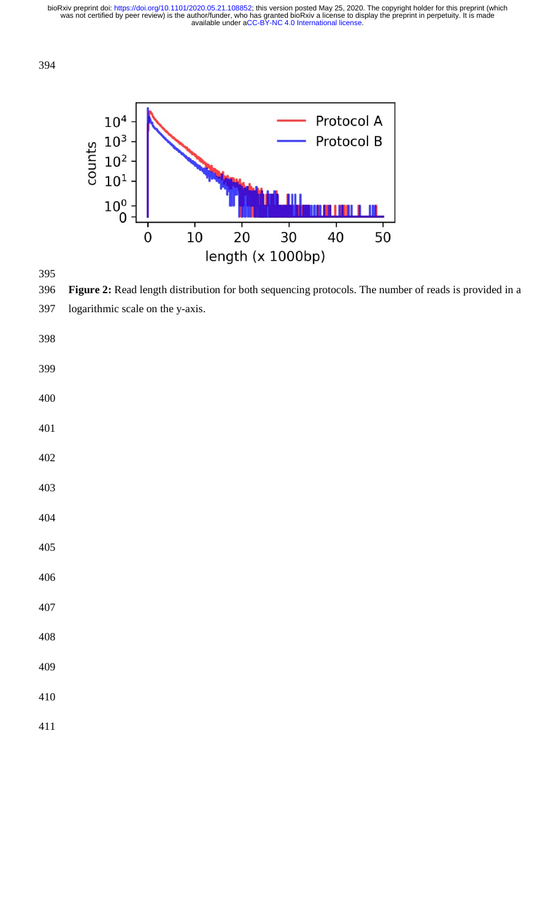



**Figure 2:** Read length distribution for both sequencing protocols. The number of reads is provided in a 397 logarithmic scale on the y-axis.

- 
- 
- 
- 
- 
- 
- 
- 
- 
- 
- 
- 
- 
- 
- 
-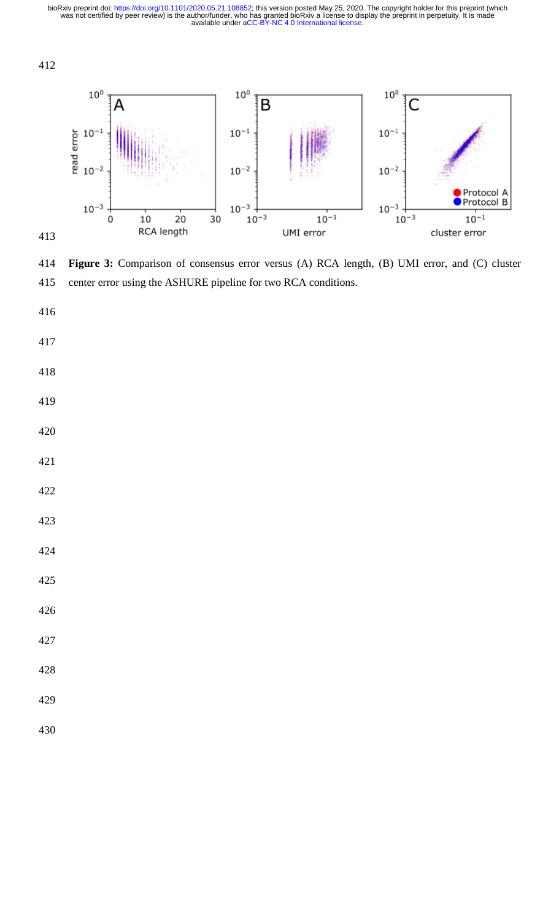

**Figure 3:** Comparison of consensus error versus (A) RCA length, (B) UMI error, and (C) cluster 415 center error using the ASHURE pipeline for two RCA conditions.

- 
- 
- 
- 
-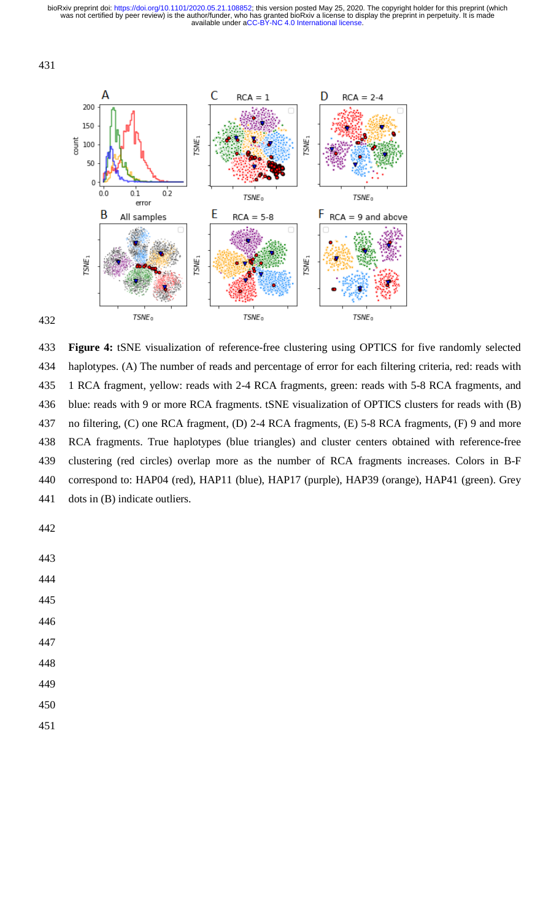



433 Figure 4: tSNE visualization of reference-free clustering using OPTICS for five randomly selected 434 haplotypes. (A) The number of reads and percentage of error for each filtering criteria, red: reads with 435 1 RCA fragment, yellow: reads with 2-4 RCA fragments, green: reads with 5-8 RCA fragments, and 436 blue: reads with 9 or more RCA fragments. tSNE visualization of OPTICS clusters for reads with (B) 437 no filtering, (C) one RCA fragment, (D) 2-4 RCA fragments, (E) 5-8 RCA CA fragments, (F) 9 and more 438 RCA fragments. True haplotypes (blue triangles) and cluster centers obtained with reference-free 439 clustering (red circles) overlap more as the number of RCA fragments increases. Colors in B-F 440 correspond to: HAP04 (red), HAP11 (blue), HAP17 (purple), HAP39 (ora range), HAP41 (green). Grey 441 dots in (B) indicate outliers.

442

443

444

- 446
- 447
- 448
- 449
- 450
- 
- 451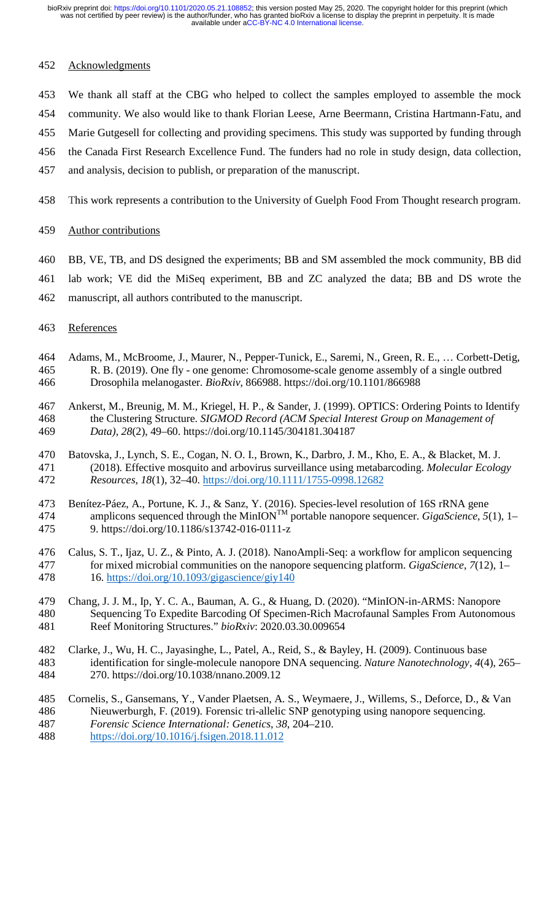### 452 Acknowledgments

- 453 We thank all staff at the CBG who helped to collect the samples employed to assemble the mock
- 454 community. We also would like to thank Florian Leese, Arne Beermann, Cristina Hartmann-Fatu, and
- 455 Marie Gutgesell for collecting and providing specimens. This study was supported by funding through
- 456 the Canada First Research Excellence Fund. The funders had no role in study design, data collection,
- 457 and analysis, decision to publish, or preparation of the manuscript.
- 458 This work represents a contribution to the University of Guelph Food From Thought research program.

#### 459 Author contributions

- 460 BB, VE, TB, and DS designed the experiments; BB and SM assembled the mock community, BB did
- 461 lab work; VE did the MiSeq experiment, BB and ZC analyzed the data; BB and DS wrote the
- 462 manuscript, all authors contributed to the manuscript.
- 463 References
- 464 Adams, M., McBroome, J., Maurer, N., Pepper-Tunick, E., Saremi, N., Green, R. E., … Corbett-Detig, 465 R. B. (2019). One fly - one genome: Chromosome-scale genome assembly of a single outbred 466 Drosophila melanogaster. *BioRxiv*, 866988. https://doi.org/10.1101/866988
- 467 Ankerst, M., Breunig, M. M., Kriegel, H. P., & Sander, J. (1999). OPTICS: Ordering Points to Identify 468 the Clustering Structure. *SIGMOD Record (ACM Special Interest Group on Management of*  469 *Data)*, *28*(2), 49–60. https://doi.org/10.1145/304181.304187
- 470 Batovska, J., Lynch, S. E., Cogan, N. O. I., Brown, K., Darbro, J. M., Kho, E. A., & Blacket, M. J. 471 (2018). Effective mosquito and arbovirus surveillance using metabarcoding. *Molecular Ecology*  472 *Resources*, *18*(1), 32–40. https://doi.org/10.1111/1755-0998.12682
- 473 Benítez-Páez, A., Portune, K. J., & Sanz, Y. (2016). Species-level resolution of 16S rRNA gene 474 amplicons sequenced through the MinION<sup>TM</sup> portable nanopore sequencer. *GigaScience*,  $5(1)$ , 1– 475 9. https://doi.org/10.1186/s13742-016-0111-z
- 476 Calus, S. T., Ijaz, U. Z., & Pinto, A. J. (2018). NanoAmpli-Seq: a workflow for amplicon sequencing 477 for mixed microbial communities on the nanopore sequencing platform. *GigaScience*, *7*(12), 1– 478 16. https://doi.org/10.1093/gigascience/giy140
- 479 Chang, J. J. M., Ip, Y. C. A., Bauman, A. G., & Huang, D. (2020). "MinION-in-ARMS: Nanopore 480 Sequencing To Expedite Barcoding Of Specimen-Rich Macrofaunal Samples From Autonomous 481 Reef Monitoring Structures." *bioRxiv*: 2020.03.30.009654
- 482 Clarke, J., Wu, H. C., Jayasinghe, L., Patel, A., Reid, S., & Bayley, H. (2009). Continuous base 483 identification for single-molecule nanopore DNA sequencing. *Nature Nanotechnology*, *4*(4), 265– 484 270. https://doi.org/10.1038/nnano.2009.12
- 485 Cornelis, S., Gansemans, Y., Vander Plaetsen, A. S., Weymaere, J., Willems, S., Deforce, D., & Van 486 Nieuwerburgh, F. (2019). Forensic tri-allelic SNP genotyping using nanopore sequencing. 487 *Forensic Science International: Genetics*, *38*, 204–210.
- 488 https://doi.org/10.1016/j.fsigen.2018.11.012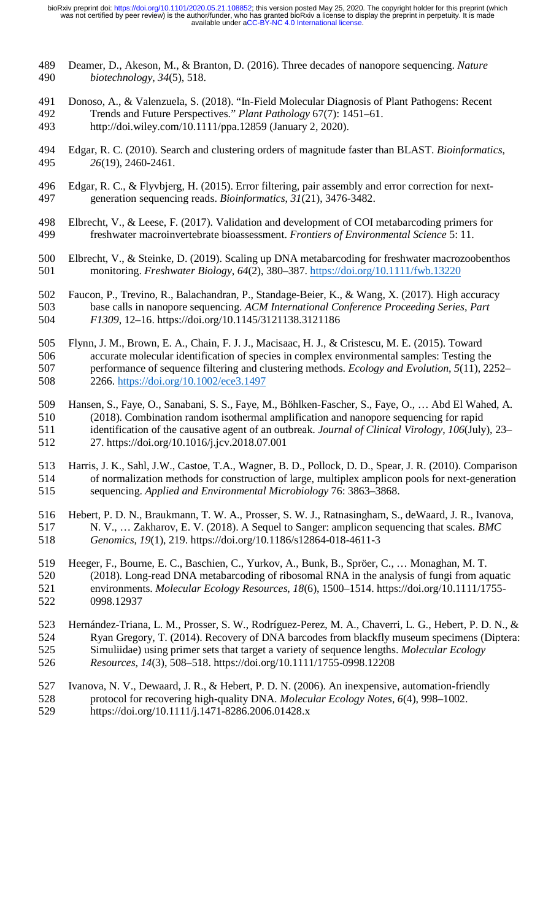- 489 Deamer, D., Akeson, M., & Branton, D. (2016). Three decades of nanopore sequencing. *Nature*  490 *biotechnology*, *34*(5), 518.
- 491 Donoso, A., & Valenzuela, S. (2018). "In-Field Molecular Diagnosis of Plant Pathogens: Recent 492 Trends and Future Perspectives." *Plant Pathology* 67(7): 1451–61. 493 http://doi.wiley.com/10.1111/ppa.12859 (January 2, 2020).
- 494 Edgar, R. C. (2010). Search and clustering orders of magnitude faster than BLAST. *Bioinformatics*, 495 *26*(19), 2460-2461.
- 496 Edgar, R. C., & Flyvbjerg, H. (2015). Error filtering, pair assembly and error correction for next-497 generation sequencing reads. *Bioinformatics*, *31*(21), 3476-3482.
- 498 Elbrecht, V., & Leese, F. (2017). Validation and development of COI metabarcoding primers for 499 freshwater macroinvertebrate bioassessment. *Frontiers of Environmental Science* 5: 11.
- 500 Elbrecht, V., & Steinke, D. (2019). Scaling up DNA metabarcoding for freshwater macrozoobenthos 501 monitoring. *Freshwater Biology*, *64*(2), 380–387. https://doi.org/10.1111/fwb.13220
- 502 Faucon, P., Trevino, R., Balachandran, P., Standage-Beier, K., & Wang, X. (2017). High accuracy 503 base calls in nanopore sequencing. *ACM International Conference Proceeding Series*, *Part*  504 *F1309*, 12–16. https://doi.org/10.1145/3121138.3121186
- 505 Flynn, J. M., Brown, E. A., Chain, F. J. J., Macisaac, H. J., & Cristescu, M. E. (2015). Toward 506 accurate molecular identification of species in complex environmental samples: Testing the 507 performance of sequence filtering and clustering methods. *Ecology and Evolution*, *5*(11), 2252– 508 2266. https://doi.org/10.1002/ece3.1497
- 509 Hansen, S., Faye, O., Sanabani, S. S., Faye, M., Böhlken-Fascher, S., Faye, O., … Abd El Wahed, A. 510 (2018). Combination random isothermal amplification and nanopore sequencing for rapid 511 identification of the causative agent of an outbreak. *Journal of Clinical Virology*, *106*(July), 23– 512 27. https://doi.org/10.1016/j.jcv.2018.07.001
- 513 Harris, J. K., Sahl, J.W., Castoe, T.A., Wagner, B. D., Pollock, D. D., Spear, J. R. (2010). Comparison 514 of normalization methods for construction of large, multiplex amplicon pools for next-generation 515 sequencing. *Applied and Environmental Microbiology* 76: 3863–3868.
- 516 Hebert, P. D. N., Braukmann, T. W. A., Prosser, S. W. J., Ratnasingham, S., deWaard, J. R., Ivanova, 517 N. V., … Zakharov, E. V. (2018). A Sequel to Sanger: amplicon sequencing that scales. *BMC*  518 *Genomics*, *19*(1), 219. https://doi.org/10.1186/s12864-018-4611-3
- 519 Heeger, F., Bourne, E. C., Baschien, C., Yurkov, A., Bunk, B., Spröer, C., … Monaghan, M. T. 520 (2018). Long-read DNA metabarcoding of ribosomal RNA in the analysis of fungi from aquatic 521 environments. *Molecular Ecology Resources*, *18*(6), 1500–1514. https://doi.org/10.1111/1755- 522 0998.12937
- 523 Hernández-Triana, L. M., Prosser, S. W., Rodríguez-Perez, M. A., Chaverri, L. G., Hebert, P. D. N., & 524 Ryan Gregory, T. (2014). Recovery of DNA barcodes from blackfly museum specimens (Diptera: 525 Simuliidae) using primer sets that target a variety of sequence lengths. *Molecular Ecology*  526 *Resources*, *14*(3), 508–518. https://doi.org/10.1111/1755-0998.12208
- 527 Ivanova, N. V., Dewaard, J. R., & Hebert, P. D. N. (2006). An inexpensive, automation-friendly 528 protocol for recovering high-quality DNA. *Molecular Ecology Notes*, *6*(4), 998–1002.
- 529 https://doi.org/10.1111/j.1471-8286.2006.01428.x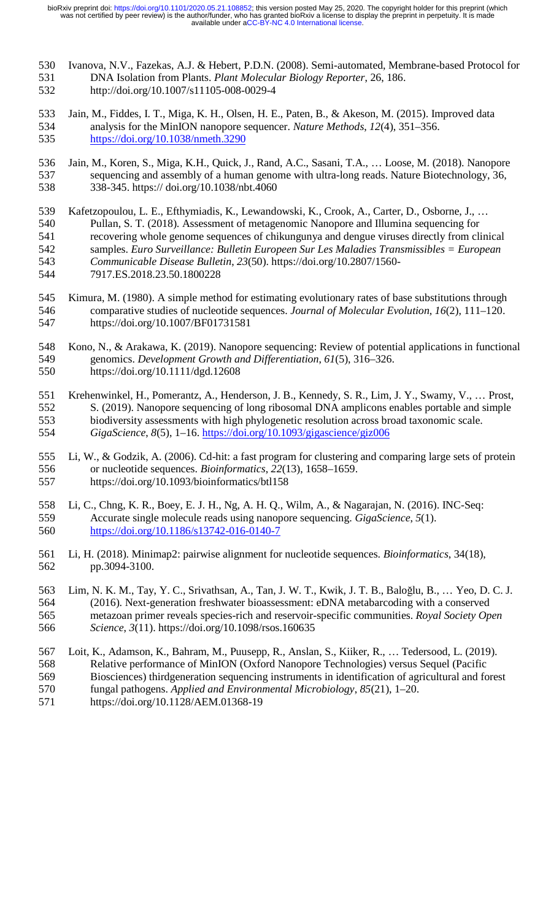- 530 Ivanova, N.V., Fazekas, A.J. & Hebert, P.D.N. (2008). Semi-automated, Membrane-based Protocol for 531 DNA Isolation from Plants. *Plant Molecular Biology Reporter*, 26, 186.
- 532 http://doi.org/10.1007/s11105-008-0029-4
- 533 Jain, M., Fiddes, I. T., Miga, K. H., Olsen, H. E., Paten, B., & Akeson, M. (2015). Improved data 534 analysis for the MinION nanopore sequencer. *Nature Methods*, *12*(4), 351–356. 535 https://doi.org/10.1038/nmeth.3290
- 536 Jain, M., Koren, S., Miga, K.H., Quick, J., Rand, A.C., Sasani, T.A., … Loose, M. (2018). Nanopore 537 sequencing and assembly of a human genome with ultra-long reads. Nature Biotechnology, 36, 538 338-345. https:// doi.org/10.1038/nbt.4060
- 539 Kafetzopoulou, L. E., Efthymiadis, K., Lewandowski, K., Crook, A., Carter, D., Osborne, J., …
- 540 Pullan, S. T. (2018). Assessment of metagenomic Nanopore and Illumina sequencing for
- 541 recovering whole genome sequences of chikungunya and dengue viruses directly from clinical
- 542 samples. *Euro Surveillance: Bulletin Europeen Sur Les Maladies Transmissibles = European*
- 543 *Communicable Disease Bulletin*, *23*(50). https://doi.org/10.2807/1560-
- 544 7917.ES.2018.23.50.1800228
- 545 Kimura, M. (1980). A simple method for estimating evolutionary rates of base substitutions through 546 comparative studies of nucleotide sequences. *Journal of Molecular Evolution*, *16*(2), 111–120. 547 https://doi.org/10.1007/BF01731581
- 548 Kono, N., & Arakawa, K. (2019). Nanopore sequencing: Review of potential applications in functional 549 genomics. *Development Growth and Differentiation*, *61*(5), 316–326.
- 550 https://doi.org/10.1111/dgd.12608
- 551 Krehenwinkel, H., Pomerantz, A., Henderson, J. B., Kennedy, S. R., Lim, J. Y., Swamy, V., … Prost, 552 S. (2019). Nanopore sequencing of long ribosomal DNA amplicons enables portable and simple 553 biodiversity assessments with high phylogenetic resolution across broad taxonomic scale. 554 *GigaScience*, *8*(5), 1–16. https://doi.org/10.1093/gigascience/giz006
- 555 Li, W., & Godzik, A. (2006). Cd-hit: a fast program for clustering and comparing large sets of protein 556 or nucleotide sequences. *Bioinformatics*, *22*(13), 1658–1659. 557 https://doi.org/10.1093/bioinformatics/btl158
- 558 Li, C., Chng, K. R., Boey, E. J. H., Ng, A. H. Q., Wilm, A., & Nagarajan, N. (2016). INC-Seq: 559 Accurate single molecule reads using nanopore sequencing. *GigaScience*, *5*(1). 560 https://doi.org/10.1186/s13742-016-0140-7
- 561 Li, H. (2018). Minimap2: pairwise alignment for nucleotide sequences. *Bioinformatics*, 34(18), 562 pp.3094-3100.
- 563 Lim, N. K. M., Tay, Y. C., Srivathsan, A., Tan, J. W. T., Kwik, J. T. B., Baloğlu, B., ... Yeo, D. C. J. 564 (2016). Next-generation freshwater bioassessment: eDNA metabarcoding with a conserved 564 (2016). Next-generation freshwater bioassessment: eDNA metabarcoding with a conserved 565 metazoan primer reveals species-rich and reservoir-specific communities. *Royal Society Open*  566 *Science*, *3*(11). https://doi.org/10.1098/rsos.160635
- 567 Loit, K., Adamson, K., Bahram, M., Puusepp, R., Anslan, S., Kiiker, R., … Tedersood, L. (2019). 568 Relative performance of MinION (Oxford Nanopore Technologies) versus Sequel (Pacific 569 Biosciences) thirdgeneration sequencing instruments in identification of agricultural and forest
- 570 fungal pathogens. *Applied and Environmental Microbiology*, *85*(21), 1–20.
- 571 https://doi.org/10.1128/AEM.01368-19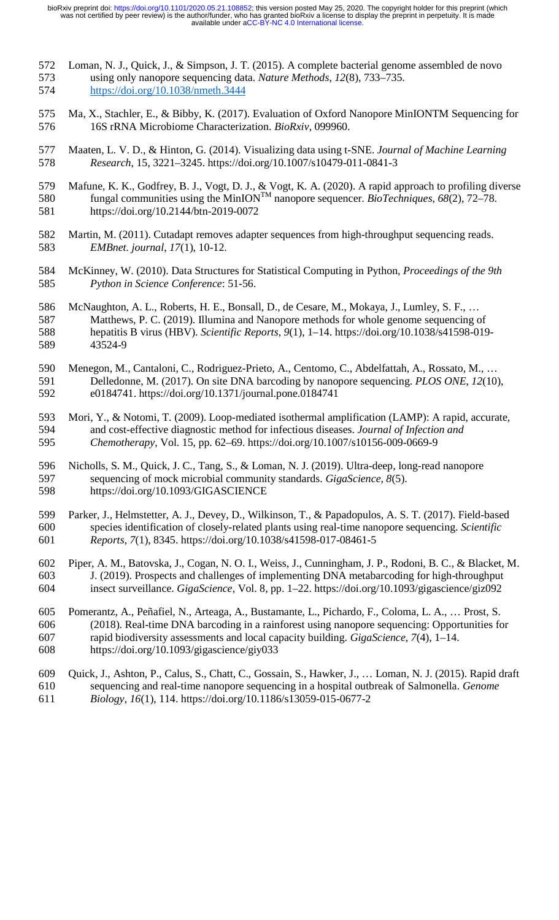- 572 Loman, N. J., Quick, J., & Simpson, J. T. (2015). A complete bacterial genome assembled de novo 573 using only nanopore sequencing data. *Nature Methods*, *12*(8), 733–735. 574 https://doi.org/10.1038/nmeth.3444
- 575 Ma, X., Stachler, E., & Bibby, K. (2017). Evaluation of Oxford Nanopore MinIONTM Sequencing for 576 16S rRNA Microbiome Characterization. *BioRxiv*, 099960.
- 577 Maaten, L. V. D., & Hinton, G. (2014). Visualizing data using t-SNE. *Journal of Machine Learning*  578 *Research*, 15, 3221–3245. https://doi.org/10.1007/s10479-011-0841-3
- 579 Mafune, K. K., Godfrey, B. J., Vogt, D. J., & Vogt, K. A. (2020). A rapid approach to profiling diverse  $f_{\text{S}}(2)$  fungal communities using the MinION<sup>TM</sup> nanopore sequencer. *BioTechniques*,  $68(2)$ , 72–78. 581 https://doi.org/10.2144/btn-2019-0072
- 582 Martin, M. (2011). Cutadapt removes adapter sequences from high-throughput sequencing reads. 583 *EMBnet. journal*, *17*(1), 10-12.
- 584 McKinney, W. (2010). Data Structures for Statistical Computing in Python, *Proceedings of the 9th*  585 *Python in Science Conference*: 51-56.
- 586 McNaughton, A. L., Roberts, H. E., Bonsall, D., de Cesare, M., Mokaya, J., Lumley, S. F., …
- 587 Matthews, P. C. (2019). Illumina and Nanopore methods for whole genome sequencing of 588 hepatitis B virus (HBV). *Scientific Reports*, *9*(1), 1–14. https://doi.org/10.1038/s41598-019- 589 43524-9
- 590 Menegon, M., Cantaloni, C., Rodriguez-Prieto, A., Centomo, C., Abdelfattah, A., Rossato, M., … 591 Delledonne, M. (2017). On site DNA barcoding by nanopore sequencing. *PLOS ONE*, *12*(10), 592 e0184741. https://doi.org/10.1371/journal.pone.0184741
- 593 Mori, Y., & Notomi, T. (2009). Loop-mediated isothermal amplification (LAMP): A rapid, accurate, 594 and cost-effective diagnostic method for infectious diseases. *Journal of Infection and*  595 *Chemotherapy*, Vol. 15, pp. 62–69. https://doi.org/10.1007/s10156-009-0669-9
- 596 Nicholls, S. M., Quick, J. C., Tang, S., & Loman, N. J. (2019). Ultra-deep, long-read nanopore 597 sequencing of mock microbial community standards. *GigaScience*, *8*(5). 598 https://doi.org/10.1093/GIGASCIENCE
- 599 Parker, J., Helmstetter, A. J., Devey, D., Wilkinson, T., & Papadopulos, A. S. T. (2017). Field-based 600 species identification of closely-related plants using real-time nanopore sequencing. *Scientific*  601 *Reports*, *7*(1), 8345. https://doi.org/10.1038/s41598-017-08461-5
- 602 Piper, A. M., Batovska, J., Cogan, N. O. I., Weiss, J., Cunningham, J. P., Rodoni, B. C., & Blacket, M. 603 J. (2019). Prospects and challenges of implementing DNA metabarcoding for high-throughput 604 insect surveillance. *GigaScience*, Vol. 8, pp. 1–22. https://doi.org/10.1093/gigascience/giz092
- 605 Pomerantz, A., Peñafiel, N., Arteaga, A., Bustamante, L., Pichardo, F., Coloma, L. A., … Prost, S. 606 (2018). Real-time DNA barcoding in a rainforest using nanopore sequencing: Opportunities for 607 rapid biodiversity assessments and local capacity building. *GigaScience*, *7*(4), 1–14. 608 https://doi.org/10.1093/gigascience/giy033
- 609 Quick, J., Ashton, P., Calus, S., Chatt, C., Gossain, S., Hawker, J., … Loman, N. J. (2015). Rapid draft
- 610 sequencing and real-time nanopore sequencing in a hospital outbreak of Salmonella. *Genome*
- 611 *Biology*, *16*(1), 114. https://doi.org/10.1186/s13059-015-0677-2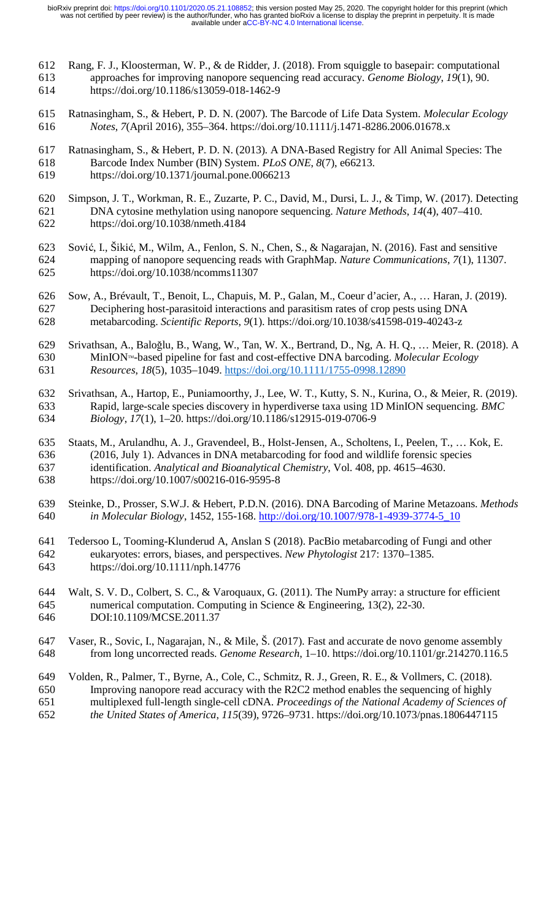- 612 Rang, F. J., Kloosterman, W. P., & de Ridder, J. (2018). From squiggle to basepair: computational 613 approaches for improving nanopore sequencing read accuracy. *Genome Biology*, *19*(1), 90. 614 https://doi.org/10.1186/s13059-018-1462-9
- 615 Ratnasingham, S., & Hebert, P. D. N. (2007). The Barcode of Life Data System. *Molecular Ecology*  616 *Notes*, *7*(April 2016), 355–364. https://doi.org/10.1111/j.1471-8286.2006.01678.x
- 617 Ratnasingham, S., & Hebert, P. D. N. (2013). A DNA-Based Registry for All Animal Species: The 618 Barcode Index Number (BIN) System. *PLoS ONE*, *8*(7), e66213.
- 619 https://doi.org/10.1371/journal.pone.0066213
- 620 Simpson, J. T., Workman, R. E., Zuzarte, P. C., David, M., Dursi, L. J., & Timp, W. (2017). Detecting 621 DNA cytosine methylation using nanopore sequencing. *Nature Methods*, *14*(4), 407–410. 622 https://doi.org/10.1038/nmeth.4184
- 623 Sović, I., Šikić, M., Wilm, A., Fenlon, S. N., Chen, S., & Nagarajan, N. (2016). Fast and sensitive mapping of nanopore sequencing reads with GraphMap. *Nature Communications*, 7(1), 1130 624 mapping of nanopore sequencing reads with GraphMap. *Nature Communications*, *7*(1), 11307. 625 https://doi.org/10.1038/ncomms11307
- 626 Sow, A., Brévault, T., Benoit, L., Chapuis, M. P., Galan, M., Coeur d'acier, A., … Haran, J. (2019). 627 Deciphering host-parasitoid interactions and parasitism rates of crop pests using DNA 628 metabarcoding. *Scientific Reports*, *9*(1). https://doi.org/10.1038/s41598-019-40243-z
- 629 Srivathsan, A., Baloğlu, B., Wang, W., Tan, W. X., Bertrand, D., Ng, A. H. Q., ... Meier, R. (2018). A<br>630 MinION™-based pipeline for fast and cost-effective DNA barcoding. *Molecular Ecology* MinION<sup>™</sup>-based pipeline for fast and cost-effective DNA barcoding. *Molecular Ecology* 631 *Resources*, *18*(5), 1035–1049. https://doi.org/10.1111/1755-0998.12890
- 632 Srivathsan, A., Hartop, E., Puniamoorthy, J., Lee, W. T., Kutty, S. N., Kurina, O., & Meier, R. (2019). 633 Rapid, large-scale species discovery in hyperdiverse taxa using 1D MinION sequencing. *BMC*  634 *Biology*, *17*(1), 1–20. https://doi.org/10.1186/s12915-019-0706-9
- 635 Staats, M., Arulandhu, A. J., Gravendeel, B., Holst-Jensen, A., Scholtens, I., Peelen, T., … Kok, E. 636 (2016, July 1). Advances in DNA metabarcoding for food and wildlife forensic species 637 identification. *Analytical and Bioanalytical Chemistry*, Vol. 408, pp. 4615–4630. 638 https://doi.org/10.1007/s00216-016-9595-8
- 639 Steinke, D., Prosser, S.W.J. & Hebert, P.D.N. (2016). DNA Barcoding of Marine Metazoans. *Methods*  640 *in Molecular Biology*, 1452, 155-168. http://doi.org/10.1007/978-1-4939-3774-5\_10
- 641 Tedersoo L, Tooming-Klunderud A, Anslan S (2018). PacBio metabarcoding of Fungi and other 642 eukaryotes: errors, biases, and perspectives. *New Phytologist* 217: 1370–1385. 643 https://doi.org/10.1111/nph.14776
- 644 Walt, S. V. D., Colbert, S. C., & Varoquaux, G. (2011). The NumPy array: a structure for efficient 645 numerical computation. Computing in Science & Engineering, 13(2), 22-30. 646 DOI:10.1109/MCSE.2011.37
- 647 Vaser, R., Sovic, I., Nagarajan, N., & Mile, Š. (2017). Fast and accurate de novo genome assembly 648 from long uncorrected reads. *Genome Research*, 1–10. https://doi.org/10.1101/gr.214270.116.5
- 649 Volden, R., Palmer, T., Byrne, A., Cole, C., Schmitz, R. J., Green, R. E., & Vollmers, C. (2018).
- 650 Improving nanopore read accuracy with the R2C2 method enables the sequencing of highly
- 651 multiplexed full-length single-cell cDNA. *Proceedings of the National Academy of Sciences of*
- 652 *the United States of America*, *115*(39), 9726–9731. https://doi.org/10.1073/pnas.1806447115